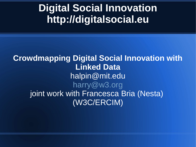### **Digital Social Innovation [http://digitalsocial.eu](http://digitalsocial.eu/)**

**Crowdmapping Digital Social Innovation with Linked Data** halpin@mit.edu [harry@w3.org](mailto:harry@w3.org) joint work with Francesca Bria (Nesta) (W3C/ERCIM)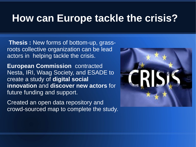#### **How can Europe tackle the crisis?**

**Thesis :** New forms of bottom-up, grassroots collective organization can be lead actors in helping tackle the crisis.

**European Commission** contracted Nesta, IRI, Waag Society, and ESADE to create a study of **digital social innovation** and **discover new actors** for future funding and support.

Created an open data repository and crowd-sourced map to complete the study.

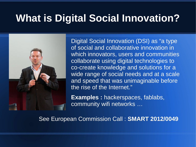#### **What is Digital Social Innovation?**



Digital Social Innovation (DSI) as "a type of social and collaborative innovation in which innovators, users and communities collaborate using digital technologies to co-create knowledge and solutions for a wide range of social needs and at a scale and speed that was unimaginable before the rise of the Internet."

**Examples :** hackerspaces, fablabs, community wifi networks …

See European Commission Call : **SMART 2012/0049**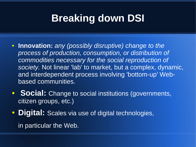# **Breaking down DSI**

- **Innovation:** *any (possibly disruptive) change to the process of production, consumption, or distribution of commodities necessary for the social reproduction of society.* Not linear 'lab' to market, but a complex, dynamic, and interdependent process involving 'bottom-up' Webbased communities.
- **Social:** Change to social institutions (governments, citizen groups, etc.)
- **Digital:** Scales via use of digital technologies,

in particular the Web.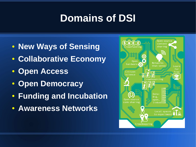# **Domains of DSI**

- ● **New Ways of Sensing**
- **Collaborative Economy**
- **Open Access**
- **Open Democracy**
- **Funding and Incubation**
- **Awareness Networks**

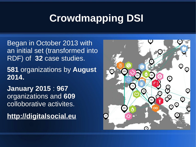# **Crowdmapping DSI**

Began in October 2013 with an initial set (transformed into RDF) of **32** case studies.

**581** organizations by **August 2014.**

**January 2015** : **967**  organizations and **609** colloborative activites.

**http://digitalsocial.eu**

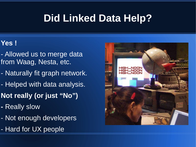# **Did Linked Data Help?**

#### **Yes !**

- Allowed us to merge data from Waag, Nesta, etc.
- Naturally fit graph network.
- Helped with data analysis.
- **Not really (or just "No")**
- Really slow
- Not enough developers
- Hard for UX people

![](_page_6_Picture_9.jpeg)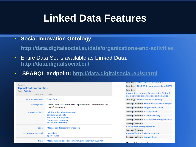### **Linked Data Features**

#### ● **Social Innovation Ontology**

**<http://data.digitalsocial.eu/data/organizations-and-activities>**

- Entire Data-Set is available as **Linked Data**: **<http://data.digitalsocial.eu/>**
- **SPARQL endpoint:<http://data.digitalsocial.eu/sparql>**

| Subject<br><b>OpenDataCommunities</b><br><b>Type: Activity</b> |                                                                                                                          |
|----------------------------------------------------------------|--------------------------------------------------------------------------------------------------------------------------|
| Predicate                                                      | Object                                                                                                                   |
| technology focus                                               | Open Data                                                                                                                |
| <b>Description</b>                                             | Linked Open Data for the UK Department of Communities and<br><b>Local Government.</b>                                    |
| area of society                                                | neighbourhood regeneration<br>education and skills<br>work and employment<br>finance and economy<br>health and wellbeing |
| page                                                           | http://opendatacommunities.org                                                                                           |
| technology method                                              | open data<br>open source                                                                                                 |
| time                                                           | http://data.digitalsocial.eu/id/timeline-interval/6b05d0df-                                                              |

| Ontology http://xmins.com/foat/0.1/                                                                        |  |
|------------------------------------------------------------------------------------------------------------|--|
| <b>Ontology</b> The RDF Schema vocabulary (RDFS)                                                           |  |
| Ontology<br>An ontology of terms for describing Digital So<br>cial Innovation organizations and activities |  |
| Ontology The data cube vocabulary                                                                          |  |
| <b>Concept Scheme</b> Full-Time-Equivalent Ranges                                                          |  |
| <b>Concept Scheme</b> Organisation Types                                                                   |  |
| <b>Concept Scheme</b> Activity Types                                                                       |  |
| <b>Concept Scheme</b> Areas Of Society                                                                     |  |
| <b>Concept Scheme</b> Activity Technology Focuses                                                          |  |
| <b>Concept Scheme</b><br><b>Activity Technology Methods</b>                                                |  |
| Concept Scheme                                                                                             |  |
| <b>Areas Of Digital Social Innovation</b>                                                                  |  |
| <b>Concept Scheme</b> Activity Roles                                                                       |  |
|                                                                                                            |  |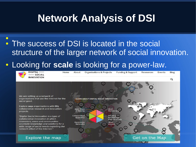# **Network Analysis of DSI**

• The success of DSI is located in the social structure of the larger network of social innovation. ● .

#### • Looking for **scale** is looking for a power-law.

![](_page_8_Picture_3.jpeg)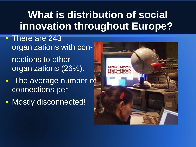# **What is distribution of social innovation throughout Europe?**

- There are 243 organizations with connections to other organizations (26%).
- The average number of connections per
- Mostly disconnected!

![](_page_9_Picture_4.jpeg)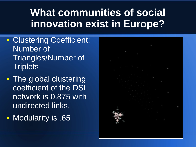# **What communities of social innovation exist in Europe?**

- Clustering Coefficient: Number of Triangles/Number of **Triplets**
- The global clustering coefficient of the DSI network is 0.875 with undirected links.
- Modularity is .65

![](_page_10_Picture_4.jpeg)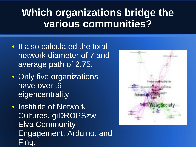# **Which organizations bridge the various communities?**

- It also calculated the total network diameter of 7 and average path of 2.75.
- Only five organizations have over .6 eigencentrality
- Institute of Network Cultures, giDROPSzw, Elva Community Engagement, Arduino, and Fing.

![](_page_11_Figure_4.jpeg)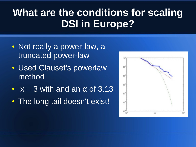# **What are the conditions for scaling DSI in Europe?**

- Not really a power-law, a truncated power-law
- Used Clauset's powerlaw method
- $\bullet$   $x = 3$  with and an  $\alpha$  of 3.13
- The long tail doesn't exist!

![](_page_12_Figure_5.jpeg)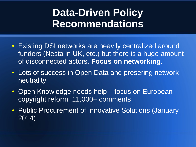# **Data-Driven Policy Recommendations**

- Existing DSI networks are heavily centralized around funders (Nesta in UK, etc.) but there is a huge amount of disconnected actors. **Focus on networking**.
- Lots of success in Open Data and presering network neutrality.
- Open Knowledge needs help focus on European copyright reform. 11,000+ comments
- Public Procurement of Innovative Solutions (January 2014)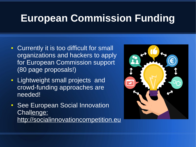## **European Commission Funding**

- Currently it is too difficult for small organizations and hackers to apply for European Commission support (80 page proposals!)
- Lightweight small projects and crowd-funding approaches are needed!
- See European Social Innovation Challenge: http://socialinnovationcompetition.eu

![](_page_14_Picture_4.jpeg)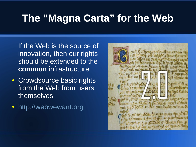### **The "Magna Carta" for the Web**

If the Web is the source of innovation, then our rights should be extended to the **common** infrastructure.

- Crowdsource basic rights from the Web from users themselves.
- [http://webwewant.org](http://webwewant.org/)

![](_page_15_Picture_4.jpeg)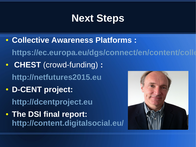### **Next Steps**

● **Collective Awareness Platforms :**

https://ec.europa.eu/dgs/connect/en/content/colle

- **CHEST** (crowd-funding) **: [http://netfutures2015.eu](http://netfutures2015.eu/)**
- **D-CENT project: [http://dcentproject.eu](http://dcentproject.eu/)**
- **The DSI final report: <http://content.digitalsocial.eu/>**

![](_page_16_Picture_6.jpeg)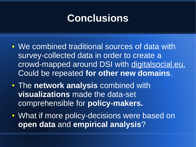#### **Conclusions**

- We combined traditional sources of data with survey-collected data in order to create a crowd-mapped around DSI with digitalsocial.eu. Could be repeated **for other new domains**.
- The **network analysis** combined with **visualizations** made the data-set comprehensible for **policy-makers.**
- What if more policy-decisions were based on **open data** and **empirical analysis**?